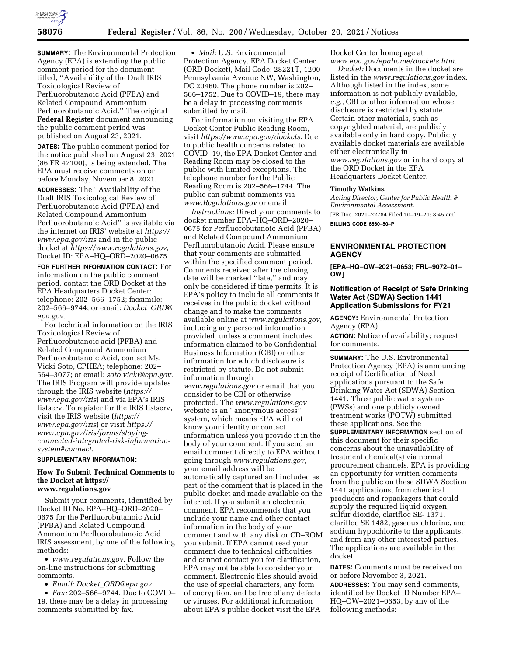

**SUMMARY:** The Environmental Protection Agency (EPA) is extending the public comment period for the document titled, ''Availability of the Draft IRIS Toxicological Review of Perfluorobutanoic Acid (PFBA) and Related Compound Ammonium Perfluorobutanoic Acid.'' The original **Federal Register** document announcing the public comment period was published on August 23, 2021.

**DATES:** The public comment period for the notice published on August 23, 2021 (86 FR 47100), is being extended. The EPA must receive comments on or before Monday, November 8, 2021.

**ADDRESSES:** The ''Availability of the Draft IRIS Toxicological Review of Perfluorobutanoic Acid (PFBA) and Related Compound Ammonium Perfluorobutanoic Acid'' is available via the internet on IRIS' website at *[https://](https://www.epa.gov/iris) [www.epa.gov/iris](https://www.epa.gov/iris)* and in the public docket at *[https://www.regulations.gov,](https://www.regulations.gov)*  Docket ID: EPA–HQ–ORD–2020–0675.

**FOR FURTHER INFORMATION CONTACT:** For information on the public comment period, contact the ORD Docket at the EPA Headquarters Docket Center; telephone: 202–566–1752; facsimile: 202–566–9744; or email: *[Docket](mailto:Docket_ORD@epa.gov)*\_*ORD@ [epa.gov.](mailto:Docket_ORD@epa.gov)* 

For technical information on the IRIS Toxicological Review of Perfluorobutanoic acid (PFBA) and Related Compound Ammonium Perfluorobutanoic Acid, contact Ms. Vicki Soto, CPHEA; telephone: 202– 564–3077; or email: *[soto.vicki@epa.gov.](mailto:soto.vicki@epa.gov)*  The IRIS Program will provide updates through the IRIS website (*[https://](https://www.epa.gov/iris) [www.epa.gov/iris](https://www.epa.gov/iris)*) and via EPA's IRIS listserv. To register for the IRIS listserv, visit the IRIS website (*[https://](https://www.epa.gov/iris) [www.epa.gov/iris](https://www.epa.gov/iris)*) or visit *[https://](https://www.epa.gov/iris/forms/staying-connected-integrated-risk-information-system#connect) [www.epa.gov/iris/forms/staying](https://www.epa.gov/iris/forms/staying-connected-integrated-risk-information-system#connect)[connected-integrated-risk-information](https://www.epa.gov/iris/forms/staying-connected-integrated-risk-information-system#connect)[system#connect.](https://www.epa.gov/iris/forms/staying-connected-integrated-risk-information-system#connect)* 

# **SUPPLEMENTARY INFORMATION:**

### **How To Submit Technical Comments to the Docket at [https://](https://www.regulations.gov) [www.regulations.gov](https://www.regulations.gov)**

Submit your comments, identified by Docket ID No. EPA–HQ–ORD–2020– 0675 for the Perfluorobutanoic Acid (PFBA) and Related Compound Ammonium Perfluorobutanoic Acid IRIS assessment, by one of the following methods:

• *[www.regulations.gov:](http://www.regulations.gov)* Follow the on-line instructions for submitting comments.

• *Email: Docket*\_*[ORD@epa.gov.](mailto:Docket_ORD@epa.gov)* 

• *Fax:* 202–566–9744. Due to COVID– 19, there may be a delay in processing comments submitted by fax.

• *Mail:* U.S. Environmental Protection Agency, EPA Docket Center (ORD Docket), Mail Code: 28221T, 1200 Pennsylvania Avenue NW, Washington, DC 20460. The phone number is 202– 566–1752. Due to COVID–19, there may be a delay in processing comments submitted by mail.

For information on visiting the EPA Docket Center Public Reading Room, visit *[https://www.epa.gov/dockets.](https://www.epa.gov/dockets)* Due to public health concerns related to COVID–19, the EPA Docket Center and Reading Room may be closed to the public with limited exceptions. The telephone number for the Public Reading Room is 202–566–1744. The public can submit comments via *[www.Regulations.gov](http://www.Regulations.gov)* or email.

*Instructions:* Direct your comments to docket number EPA–HQ–ORD–2020– 0675 for Perfluorobutanoic Acid (PFBA) and Related Compound Ammonium Perfluorobutanoic Acid. Please ensure that your comments are submitted within the specified comment period. Comments received after the closing date will be marked "late," and may only be considered if time permits. It is EPA's policy to include all comments it receives in the public docket without change and to make the comments available online at *[www.regulations.gov,](http://www.regulations.gov)*  including any personal information provided, unless a comment includes information claimed to be Confidential Business Information (CBI) or other information for which disclosure is restricted by statute. Do not submit information through *[www.regulations.gov](http://www.regulations.gov)* or email that you consider to be CBI or otherwise protected. The *[www.regulations.gov](http://www.regulations.gov)*  website is an ''anonymous access'' system, which means EPA will not know your identity or contact information unless you provide it in the body of your comment. If you send an email comment directly to EPA without going through *[www.regulations.gov,](http://www.regulations.gov)*  your email address will be automatically captured and included as part of the comment that is placed in the public docket and made available on the internet. If you submit an electronic comment, EPA recommends that you include your name and other contact information in the body of your comment and with any disk or CD–ROM you submit. If EPA cannot read your comment due to technical difficulties and cannot contact you for clarification, EPA may not be able to consider your comment. Electronic files should avoid the use of special characters, any form of encryption, and be free of any defects or viruses. For additional information about EPA's public docket visit the EPA

Docket Center homepage at *[www.epa.gov/epahome/dockets.htm.](http://www.epa.gov/epahome/dockets.htm)* 

*Docket:* Documents in the docket are listed in the *[www.regulations.gov](http://www.regulations.gov)* index. Although listed in the index, some information is not publicly available, *e.g.,* CBI or other information whose disclosure is restricted by statute. Certain other materials, such as copyrighted material, are publicly available only in hard copy. Publicly available docket materials are available either electronically in *[www.regulations.gov](http://www.regulations.gov)* or in hard copy at the ORD Docket in the EPA Headquarters Docket Center.

#### **Timothy Watkins,**

*Acting Director, Center for Public Health & Environmental Assessment.* 

[FR Doc. 2021–22784 Filed 10–19–21; 8:45 am] **BILLING CODE 6560–50–P** 

## **ENVIRONMENTAL PROTECTION AGENCY**

**[EPA–HQ–OW–2021–0653; FRL–9072–01– OW]** 

## **Notification of Receipt of Safe Drinking Water Act (SDWA) Section 1441 Application Submissions for FY21**

**AGENCY:** Environmental Protection Agency (EPA).

**ACTION:** Notice of availability; request for comments.

**SUMMARY:** The U.S. Environmental Protection Agency (EPA) is announcing receipt of Certification of Need applications pursuant to the Safe Drinking Water Act (SDWA) Section 1441. Three public water systems (PWSs) and one publicly owned treatment works (POTW) submitted these applications. See the **SUPPLEMENTARY INFORMATION** section of this document for their specific concerns about the unavailability of treatment chemical(s) via normal procurement channels. EPA is providing an opportunity for written comments from the public on these SDWA Section 1441 applications, from chemical producers and repackagers that could supply the required liquid oxygen, sulfur dioxide, clarifloc SE- 1371, clarifloc SE 1482, gaseous chlorine, and sodium hypochlorite to the applicants, and from any other interested parties. The applications are available in the docket.

**DATES:** Comments must be received on or before November 3, 2021. **ADDRESSES:** You may send comments, identified by Docket ID Number EPA– HQ–OW–2021–0653, by any of the following methods: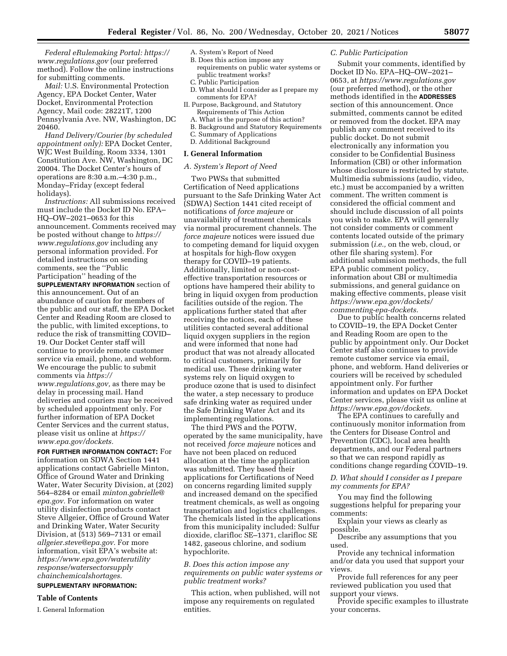*Federal eRulemaking Portal: [https://](https://www.regulations.gov) [www.regulations.gov](https://www.regulations.gov)* (our preferred method). Follow the online instructions for submitting comments.

*Mail:* U.S. Environmental Protection Agency, EPA Docket Center, Water Docket, Environmental Protection Agency, Mail code: 28221T, 1200 Pennsylvania Ave. NW, Washington, DC 20460.

*Hand Delivery/Courier (by scheduled appointment only):* EPA Docket Center, WJC West Building, Room 3334, 1301 Constitution Ave. NW, Washington, DC 20004. The Docket Center's hours of operations are 8:30 a.m.–4:30 p.m., Monday–Friday (except federal holidays).

*Instructions:* All submissions received must include the Docket ID No. EPA– HQ–OW–2021–0653 for this announcement. Comments received may be posted without change to *[https://](https://www.regulations.gov) [www.regulations.gov](https://www.regulations.gov)* including any personal information provided. For detailed instructions on sending comments, see the ''Public Participation'' heading of the

**SUPPLEMENTARY INFORMATION** section of this announcement. Out of an abundance of caution for members of the public and our staff, the EPA Docket Center and Reading Room are closed to the public, with limited exceptions, to reduce the risk of transmitting COVID– 19. Our Docket Center staff will continue to provide remote customer service via email, phone, and webform. We encourage the public to submit comments via *[https://](https://www.regulations.gov) [www.regulations.gov,](https://www.regulations.gov)* as there may be delay in processing mail. Hand deliveries and couriers may be received by scheduled appointment only. For further information of EPA Docket Center Services and the current status, please visit us online at *[https://](https://www.epa.gov/dockets) [www.epa.gov/dockets.](https://www.epa.gov/dockets)* 

**FOR FURTHER INFORMATION CONTACT:** For information on SDWA Section 1441 applications contact Gabrielle Minton, Office of Ground Water and Drinking Water, Water Security Division, at (202) 564–8284 or email *[minton.gabrielle@](mailto:minton.gabrielle@epa.gov) [epa.gov.](mailto:minton.gabrielle@epa.gov)* For information on water utility disinfection products contact Steve Allgeier, Office of Ground Water and Drinking Water, Water Security Division, at (513) 569–7131 or email *[allgeier.steve@epa.gov.](mailto:allgeier.steve@epa.gov)* For more information, visit EPA's website at: *[https://www.epa.gov/waterutility](https://www.epa.gov/waterutilityresponse/watersectorsupplychainchemicalshortages) [response/watersectorsupply](https://www.epa.gov/waterutilityresponse/watersectorsupplychainchemicalshortages) [chainchemicalshortages.](https://www.epa.gov/waterutilityresponse/watersectorsupplychainchemicalshortages)* 

### **SUPPLEMENTARY INFORMATION:**

#### **Table of Contents**

I. General Information

- A. System's Report of Need
- B. Does this action impose any requirements on public water systems or public treatment works?
- C. Public Participation
- D. What should  $\tilde{I}$  consider as I prepare my comments for EPA?
- II. Purpose, Background, and Statutory Requirements of This Action
	- A. What is the purpose of this action?
	- B. Background and Statutory Requirements
	- C. Summary of Applications
- D. Additional Background

#### **I. General Information**

#### *A. System's Report of Need*

Two PWSs that submitted Certification of Need applications pursuant to the Safe Drinking Water Act (SDWA) Section 1441 cited receipt of notifications of *force majeure* or unavailability of treatment chemicals via normal procurement channels. The *force majeure* notices were issued due to competing demand for liquid oxygen at hospitals for high-flow oxygen therapy for COVID–19 patients. Additionally, limited or non-costeffective transportation resources or options have hampered their ability to bring in liquid oxygen from production facilities outside of the region. The applications further stated that after receiving the notices, each of these utilities contacted several additional liquid oxygen suppliers in the region and were informed that none had product that was not already allocated to critical customers, primarily for medical use. These drinking water systems rely on liquid oxygen to produce ozone that is used to disinfect the water, a step necessary to produce safe drinking water as required under the Safe Drinking Water Act and its implementing regulations.

The third PWS and the POTW, operated by the same municipality, have not received *force majeure* notices and have not been placed on reduced allocation at the time the application was submitted. They based their applications for Certifications of Need on concerns regarding limited supply and increased demand on the specified treatment chemicals, as well as ongoing transportation and logistics challenges. The chemicals listed in the applications from this municipality included: Sulfur dioxide, clarifloc SE–1371, clarifloc SE 1482, gaseous chlorine, and sodium hypochlorite.

*B. Does this action impose any requirements on public water systems or public treatment works?* 

This action, when published, will not impose any requirements on regulated entities.

#### *C. Public Participation*

Submit your comments, identified by Docket ID No. EPA–HQ–OW–2021– 0653, at *<https://www.regulations.gov>*  (our preferred method), or the other methods identified in the **ADDRESSES** section of this announcement. Once submitted, comments cannot be edited or removed from the docket. EPA may publish any comment received to its public docket. Do not submit electronically any information you consider to be Confidential Business Information (CBI) or other information whose disclosure is restricted by statute. Multimedia submissions (audio, video, etc.) must be accompanied by a written comment. The written comment is considered the official comment and should include discussion of all points you wish to make. EPA will generally not consider comments or comment contents located outside of the primary submission (*i.e.,* on the web, cloud, or other file sharing system). For additional submission methods, the full EPA public comment policy, information about CBI or multimedia submissions, and general guidance on making effective comments, please visit *[https://www.epa.gov/dockets/](https://www.epa.gov/dockets/commenting-epa-dockets)  [commenting-epa-dockets.](https://www.epa.gov/dockets/commenting-epa-dockets)* 

Due to public health concerns related to COVID–19, the EPA Docket Center and Reading Room are open to the public by appointment only. Our Docket Center staff also continues to provide remote customer service via email, phone, and webform. Hand deliveries or couriers will be received by scheduled appointment only. For further information and updates on EPA Docket Center services, please visit us online at *[https://www.epa.gov/dockets.](https://www.epa.gov/dockets)* 

The EPA continues to carefully and continuously monitor information from the Centers for Disease Control and Prevention (CDC), local area health departments, and our Federal partners so that we can respond rapidly as conditions change regarding COVID–19.

# *D. What should I consider as I prepare my comments for EPA?*

You may find the following suggestions helpful for preparing your comments:

Explain your views as clearly as possible.

Describe any assumptions that you used.

Provide any technical information and/or data you used that support your views.

Provide full references for any peer reviewed publication you used that support your views.

Provide specific examples to illustrate your concerns.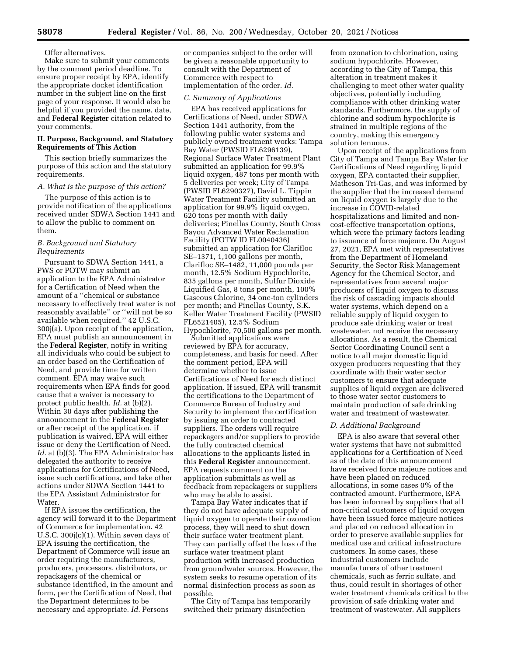# Offer alternatives.

Make sure to submit your comments by the comment period deadline. To ensure proper receipt by EPA, identify the appropriate docket identification number in the subject line on the first page of your response. It would also be helpful if you provided the name, date, and **Federal Register** citation related to your comments.

## **II. Purpose, Background, and Statutory Requirements of This Action**

This section briefly summarizes the purpose of this action and the statutory requirements.

# *A. What is the purpose of this action?*

The purpose of this action is to provide notification of the applications received under SDWA Section 1441 and to allow the public to comment on them.

# *B. Background and Statutory Requirements*

Pursuant to SDWA Section 1441, a PWS or POTW may submit an application to the EPA Administrator for a Certification of Need when the amount of a ''chemical or substance necessary to effectively treat water is not reasonably available'' or ''will not be so available when required.'' 42 U.S.C. 300j(a). Upon receipt of the application, EPA must publish an announcement in the **Federal Register***,* notify in writing all individuals who could be subject to an order based on the Certification of Need, and provide time for written comment. EPA may waive such requirements when EPA finds for good cause that a waiver is necessary to protect public health. *Id.* at (b)(2). Within 30 days after publishing the announcement in the **Federal Register**  or after receipt of the application, if publication is waived, EPA will either issue or deny the Certification of Need. *Id.* at (b)(3). The EPA Administrator has delegated the authority to receive applications for Certifications of Need, issue such certifications, and take other actions under SDWA Section 1441 to the EPA Assistant Administrator for Water.

If EPA issues the certification, the agency will forward it to the Department of Commerce for implementation. 42 U.S.C. 300j(c)(1). Within seven days of EPA issuing the certification, the Department of Commerce will issue an order requiring the manufacturers, producers, processors, distributors, or repackagers of the chemical or substance identified, in the amount and form, per the Certification of Need, that the Department determines to be necessary and appropriate. *Id.* Persons

or companies subject to the order will be given a reasonable opportunity to consult with the Department of Commerce with respect to implementation of the order. *Id.* 

#### *C. Summary of Applications*

EPA has received applications for Certifications of Need, under SDWA Section 1441 authority, from the following public water systems and publicly owned treatment works: Tampa Bay Water (PWSID FL6296139), Regional Surface Water Treatment Plant submitted an application for 99.9% liquid oxygen, 487 tons per month with 5 deliveries per week; City of Tampa (PWSID FL6290327), David L. Tippin Water Treatment Facility submitted an application for 99.9% liquid oxygen, 620 tons per month with daily deliveries; Pinellas County, South Cross Bayou Advanced Water Reclamation Facility (POTW ID FL0040436) submitted an application for Clarifloc SE–1371, 1,100 gallons per month, Clarifloc SE–1482, 11,000 pounds per month, 12.5% Sodium Hypochlorite, 835 gallons per month, Sulfur Dioxide Liquified Gas, 8 tons per month, 100% Gaseous Chlorine, 34 one-ton cylinders per month; and Pinellas County, S.K. Keller Water Treatment Facility (PWSID FL6521405), 12.5% Sodium Hypochlorite, 70,500 gallons per month.

Submitted applications were reviewed by EPA for accuracy, completeness, and basis for need. After the comment period, EPA will determine whether to issue Certifications of Need for each distinct application. If issued, EPA will transmit the certifications to the Department of Commerce Bureau of Industry and Security to implement the certification by issuing an order to contracted suppliers. The orders will require repackagers and/or suppliers to provide the fully contracted chemical allocations to the applicants listed in this **Federal Register** announcement. EPA requests comment on the application submittals as well as feedback from repackagers or suppliers who may be able to assist.

Tampa Bay Water indicates that if they do not have adequate supply of liquid oxygen to operate their ozonation process, they will need to shut down their surface water treatment plant. They can partially offset the loss of the surface water treatment plant production with increased production from groundwater sources. However, the system seeks to resume operation of its normal disinfection process as soon as possible.

The City of Tampa has temporarily switched their primary disinfection

from ozonation to chlorination, using sodium hypochlorite. However, according to the City of Tampa, this alteration in treatment makes it challenging to meet other water quality objectives, potentially including compliance with other drinking water standards. Furthermore, the supply of chlorine and sodium hypochlorite is strained in multiple regions of the country, making this emergency solution tenuous.

Upon receipt of the applications from City of Tampa and Tampa Bay Water for Certifications of Need regarding liquid oxygen, EPA contacted their supplier, Matheson Tri-Gas, and was informed by the supplier that the increased demand on liquid oxygen is largely due to the increase in COVID-related hospitalizations and limited and noncost-effective transportation options, which were the primary factors leading to issuance of force majeure. On August 27, 2021, EPA met with representatives from the Department of Homeland Security, the Sector Risk Management Agency for the Chemical Sector, and representatives from several major producers of liquid oxygen to discuss the risk of cascading impacts should water systems, which depend on a reliable supply of liquid oxygen to produce safe drinking water or treat wastewater, not receive the necessary allocations. As a result, the Chemical Sector Coordinating Council sent a notice to all major domestic liquid oxygen producers requesting that they coordinate with their water sector customers to ensure that adequate supplies of liquid oxygen are delivered to those water sector customers to maintain production of safe drinking water and treatment of wastewater.

#### *D. Additional Background*

EPA is also aware that several other water systems that have not submitted applications for a Certification of Need as of the date of this announcement have received force majeure notices and have been placed on reduced allocations, in some cases 0% of the contracted amount. Furthermore, EPA has been informed by suppliers that all non-critical customers of liquid oxygen have been issued force majeure notices and placed on reduced allocation in order to preserve available supplies for medical use and critical infrastructure customers. In some cases, these industrial customers include manufacturers of other treatment chemicals, such as ferric sulfate, and thus, could result in shortages of other water treatment chemicals critical to the provision of safe drinking water and treatment of wastewater. All suppliers